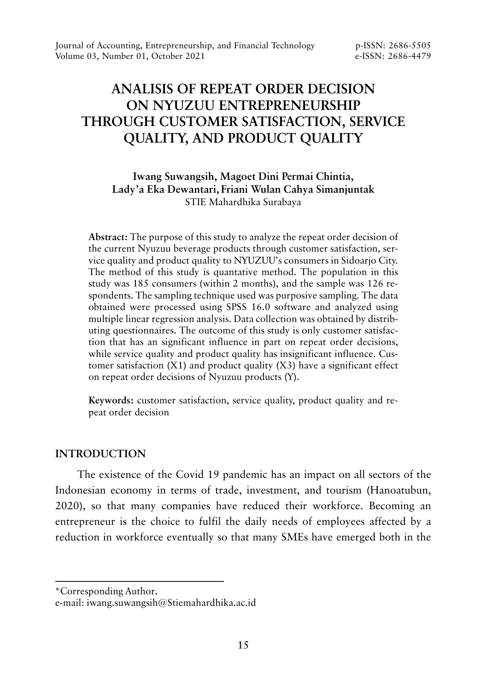# **ANALISIS OF REPEAT ORDER DECISION ON NYUZUU ENTREPRENEURSHIP THROUGH CUSTOMER SATISFACTION, SERVICE QUALITY, AND PRODUCT QUALITY**

# **Iwang Suwangsih, Magoet Dini Permai Chintia, Lady'a Eka Dewantari, Friani Wulan Cahya Simanjuntak** STIE Mahardhika Surabaya

**Abstract:** The purpose of this study to analyze the repeat order decision of the current Nyuzuu beverage products through customer satisfaction, service quality and product quality to NYUZUU's consumers in Sidoarjo City. The method of this study is quantative method. The population in this study was 185 consumers (within 2 months), and the sample was 126 respondents. The sampling technique used was purposive sampling. The data obtained were processed using SPSS 16.0 software and analyzed using multiple linear regression analysis. Data collection was obtained by distributing questionnaires. The outcome of this study is only customer satisfaction that has an significant influence in part on repeat order decisions, while service quality and product quality has insignificant influence. Customer satisfaction  $(X1)$  and product quality  $(X3)$  have a significant effect on repeat order decisions of Nyuzuu products (Y).

**Keywords:** customer satisfaction, service quality, product quality and repeat order decision

# **INTRODUCTION**

The existence of the Covid 19 pandemic has an impact on all sectors of the Indonesian economy in terms of trade, investment, and tourism (Hanoatubun, 2020), so that many companies have reduced their workforce. Becoming an entrepreneur is the choice to fulfil the daily needs of employees affected by a reduction in workforce eventually so that many SMEs have emerged both in the

<sup>\*</sup>Corresponding Author**.**

e-mail: iwang.suwangsih@Stiemahardhika.ac.id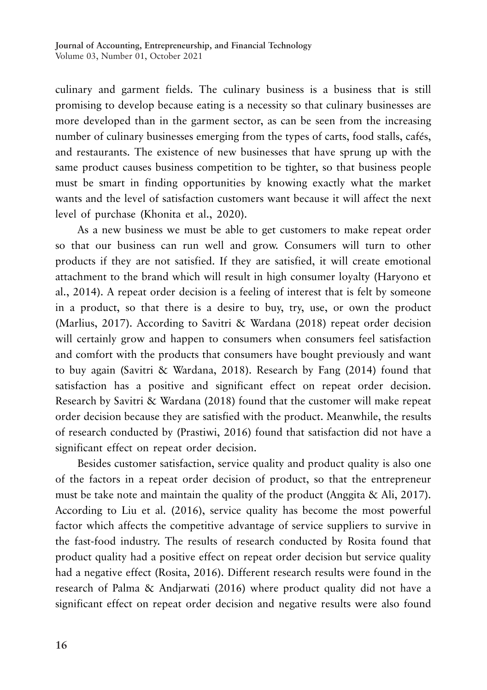culinary and garment fields. The culinary business is a business that is still promising to develop because eating is a necessity so that culinary businesses are more developed than in the garment sector, as can be seen from the increasing number of culinary businesses emerging from the types of carts, food stalls, cafés, and restaurants. The existence of new businesses that have sprung up with the same product causes business competition to be tighter, so that business people must be smart in finding opportunities by knowing exactly what the market wants and the level of satisfaction customers want because it will affect the next level of purchase (Khonita et al., 2020).

As a new business we must be able to get customers to make repeat order so that our business can run well and grow. Consumers will turn to other products if they are not satisfied. If they are satisfied, it will create emotional attachment to the brand which will result in high consumer loyalty (Haryono et al., 2014). A repeat order decision is a feeling of interest that is felt by someone in a product, so that there is a desire to buy, try, use, or own the product (Marlius, 2017). According to Savitri & Wardana (2018) repeat order decision will certainly grow and happen to consumers when consumers feel satisfaction and comfort with the products that consumers have bought previously and want to buy again (Savitri & Wardana, 2018). Research by Fang (2014) found that satisfaction has a positive and significant effect on repeat order decision. Research by Savitri & Wardana (2018) found that the customer will make repeat order decision because they are satisfied with the product. Meanwhile, the results of research conducted by (Prastiwi, 2016) found that satisfaction did not have a significant effect on repeat order decision.

Besides customer satisfaction, service quality and product quality is also one of the factors in a repeat order decision of product, so that the entrepreneur must be take note and maintain the quality of the product (Anggita & Ali, 2017). According to Liu et al. (2016), service quality has become the most powerful factor which affects the competitive advantage of service suppliers to survive in the fast-food industry. The results of research conducted by Rosita found that product quality had a positive effect on repeat order decision but service quality had a negative effect (Rosita, 2016). Different research results were found in the research of Palma & Andjarwati (2016) where product quality did not have a significant effect on repeat order decision and negative results were also found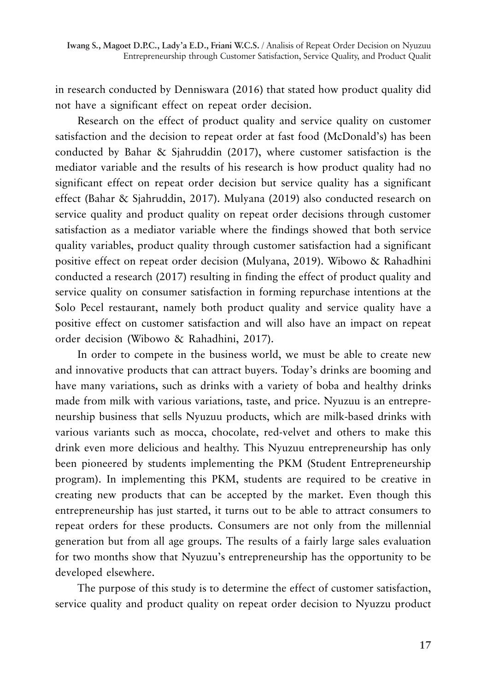in research conducted by Denniswara (2016) that stated how product quality did not have a significant effect on repeat order decision.

Research on the effect of product quality and service quality on customer satisfaction and the decision to repeat order at fast food (McDonald's) has been conducted by Bahar & Sjahruddin (2017), where customer satisfaction is the mediator variable and the results of his research is how product quality had no significant effect on repeat order decision but service quality has a significant effect (Bahar & Sjahruddin, 2017). Mulyana (2019) also conducted research on service quality and product quality on repeat order decisions through customer satisfaction as a mediator variable where the findings showed that both service quality variables, product quality through customer satisfaction had a significant positive effect on repeat order decision (Mulyana, 2019). Wibowo & Rahadhini conducted a research (2017) resulting in finding the effect of product quality and service quality on consumer satisfaction in forming repurchase intentions at the Solo Pecel restaurant, namely both product quality and service quality have a positive effect on customer satisfaction and will also have an impact on repeat order decision (Wibowo & Rahadhini, 2017).

In order to compete in the business world, we must be able to create new and innovative products that can attract buyers. Today's drinks are booming and have many variations, such as drinks with a variety of boba and healthy drinks made from milk with various variations, taste, and price. Nyuzuu is an entrepreneurship business that sells Nyuzuu products, which are milk-based drinks with various variants such as mocca, chocolate, red-velvet and others to make this drink even more delicious and healthy. This Nyuzuu entrepreneurship has only been pioneered by students implementing the PKM (Student Entrepreneurship program). In implementing this PKM, students are required to be creative in creating new products that can be accepted by the market. Even though this entrepreneurship has just started, it turns out to be able to attract consumers to repeat orders for these products. Consumers are not only from the millennial generation but from all age groups. The results of a fairly large sales evaluation for two months show that Nyuzuu's entrepreneurship has the opportunity to be developed elsewhere.

The purpose of this study is to determine the effect of customer satisfaction, service quality and product quality on repeat order decision to Nyuzzu product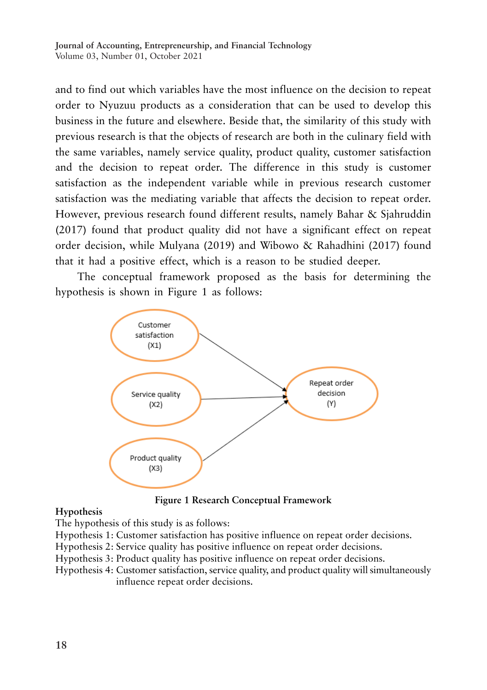and to find out which variables have the most influence on the decision to repeat order to Nyuzuu products as a consideration that can be used to develop this business in the future and elsewhere. Beside that, the similarity of this study with previous research is that the objects of research are both in the culinary field with the same variables, namely service quality, product quality, customer satisfaction and the decision to repeat order. The difference in this study is customer satisfaction as the independent variable while in previous research customer satisfaction was the mediating variable that affects the decision to repeat order. However, previous research found different results, namely Bahar & Sjahruddin (2017) found that product quality did not have a significant effect on repeat order decision, while Mulyana (2019) and Wibowo & Rahadhini (2017) found that it had a positive effect, which is a reason to be studied deeper.

The conceptual framework proposed as the basis for determining the hypothesis is shown in Figure 1 as follows:



**Figure 1 Research Conceptual Framework**

### **Hypothesis**

The hypothesis of this study is as follows:

- Hypothesis 1: Customer satisfaction has positive influence on repeat order decisions.
- Hypothesis 2: Service quality has positive influence on repeat order decisions.

Hypothesis 3: Product quality has positive influence on repeat order decisions.

Hypothesis 4: Customer satisfaction, service quality, and product quality will simultaneously influence repeat order decisions.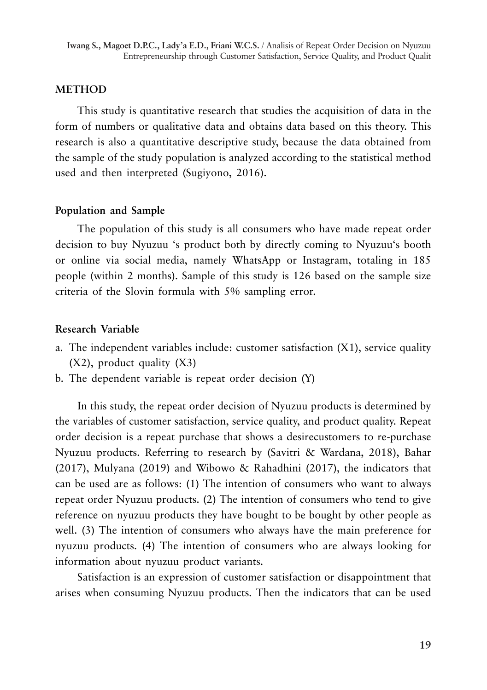# **METHOD**

This study is quantitative research that studies the acquisition of data in the form of numbers or qualitative data and obtains data based on this theory. This research is also a quantitative descriptive study, because the data obtained from the sample of the study population is analyzed according to the statistical method used and then interpreted (Sugiyono, 2016).

### **Population and Sample**

The population of this study is all consumers who have made repeat order decision to buy Nyuzuu 's product both by directly coming to Nyuzuu's booth or online via social media, namely WhatsApp or Instagram, totaling in 185 people (within 2 months). Sample of this study is 126 based on the sample size criteria of the Slovin formula with 5% sampling error.

# **Research Variable**

- a. The independent variables include: customer satisfaction (X1), service quality (X2), product quality (X3)
- b. The dependent variable is repeat order decision (Y)

In this study, the repeat order decision of Nyuzuu products is determined by the variables of customer satisfaction, service quality, and product quality. Repeat order decision is a repeat purchase that shows a desirecustomers to re-purchase Nyuzuu products. Referring to research by (Savitri & Wardana, 2018), Bahar (2017), Mulyana (2019) and Wibowo & Rahadhini (2017), the indicators that can be used are as follows: (1) The intention of consumers who want to always repeat order Nyuzuu products. (2) The intention of consumers who tend to give reference on nyuzuu products they have bought to be bought by other people as well. (3) The intention of consumers who always have the main preference for nyuzuu products. (4) The intention of consumers who are always looking for information about nyuzuu product variants.

Satisfaction is an expression of customer satisfaction or disappointment that arises when consuming Nyuzuu products. Then the indicators that can be used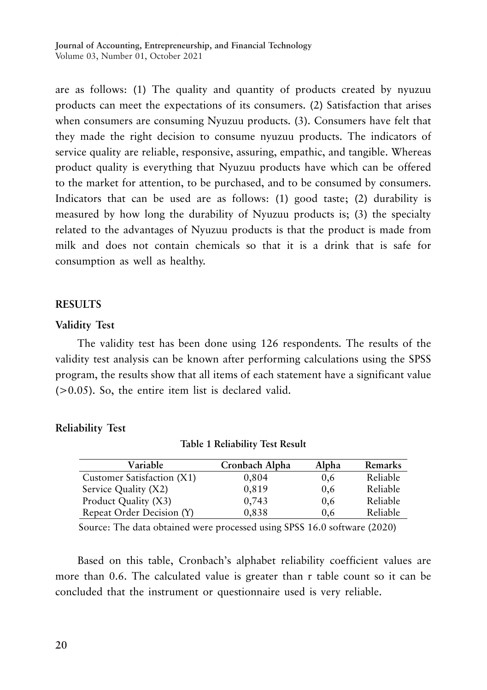are as follows: (1) The quality and quantity of products created by nyuzuu products can meet the expectations of its consumers. (2) Satisfaction that arises when consumers are consuming Nyuzuu products. (3). Consumers have felt that they made the right decision to consume nyuzuu products. The indicators of service quality are reliable, responsive, assuring, empathic, and tangible. Whereas product quality is everything that Nyuzuu products have which can be offered to the market for attention, to be purchased, and to be consumed by consumers. Indicators that can be used are as follows: (1) good taste; (2) durability is measured by how long the durability of Nyuzuu products is; (3) the specialty related to the advantages of Nyuzuu products is that the product is made from milk and does not contain chemicals so that it is a drink that is safe for consumption as well as healthy.

#### **RESULTS**

#### **Validity Test**

The validity test has been done using 126 respondents. The results of the validity test analysis can be known after performing calculations using the SPSS program, the results show that all items of each statement have a significant value (>0.05). So, the entire item list is declared valid.

|  |             | <b>Test</b> |
|--|-------------|-------------|
|  | Reliability |             |
|  |             |             |

| Variable                   | Cronbach Alpha | Alpha | Remarks  |
|----------------------------|----------------|-------|----------|
| Customer Satisfaction (X1) | 0,804          | 0,6   | Reliable |
| Service Quality (X2)       | 0,819          | 0,6   | Reliable |
| Product Quality (X3)       | 0,743          | 0,6   | Reliable |
| Repeat Order Decision (Y)  | 0.838          | 0.6   | Reliable |
|                            |                |       |          |

**Table 1 Reliability Test Result**

Source: The data obtained were processed using SPSS 16.0 software (2020)

Based on this table, Cronbach's alphabet reliability coefficient values are more than 0.6. The calculated value is greater than r table count so it can be concluded that the instrument or questionnaire used is very reliable.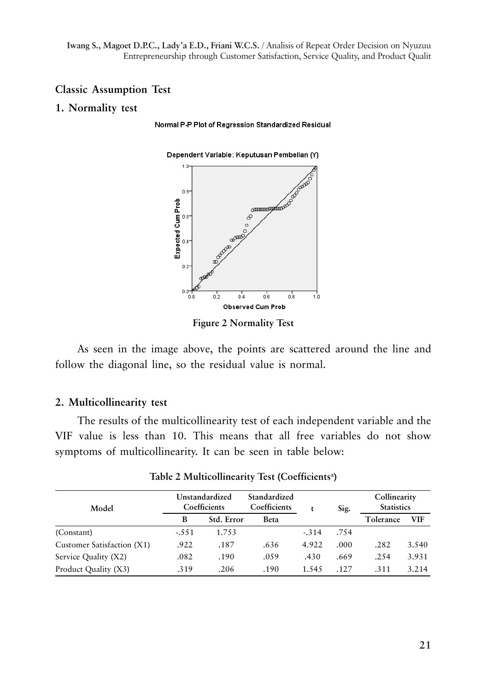**Iwang S., Magoet D.P.C., Lady'a E.D., Friani W.C.S.** / Analisis of Repeat Order Decision on Nyuzuu Entrepreneurship through Customer Satisfaction, Service Quality, and Product Qualit

#### **Classic Assumption Test**

#### **1. Normality test**

Normal P-P Plot of Regression Standardized Residual



**Figure 2 Normality Test**

As seen in the image above, the points are scattered around the line and follow the diagonal line, so the residual value is normal.

### **2. Multicollinearity test**

The results of the multicollinearity test of each independent variable and the VIF value is less than 10. This means that all free variables do not show symptoms of multicollinearity. It can be seen in table below:

| Model                      | Unstandardized<br>Coefficients |            | Standardized<br>Coefficients |         | Sig. | Collinearity<br><b>Statistics</b> |            |
|----------------------------|--------------------------------|------------|------------------------------|---------|------|-----------------------------------|------------|
|                            | B                              | Std. Error | Beta                         |         |      | Tolerance                         | <b>VIF</b> |
| (Constant)                 | $-.551$                        | 1.753      |                              | $-.314$ | .754 |                                   |            |
| Customer Satisfaction (X1) | .922                           | .187       | .636                         | 4.922   | .000 | .282                              | 3.540      |
| Service Quality (X2)       | .082                           | .190       | .059                         | .430    | .669 | .254                              | 3.931      |
| Product Quality (X3)       | .319                           | .206       | .190                         | 1.545   | -127 | $-311$                            | 3.214      |

**Table 2 Multicollinearity Test (Coefficientsa )**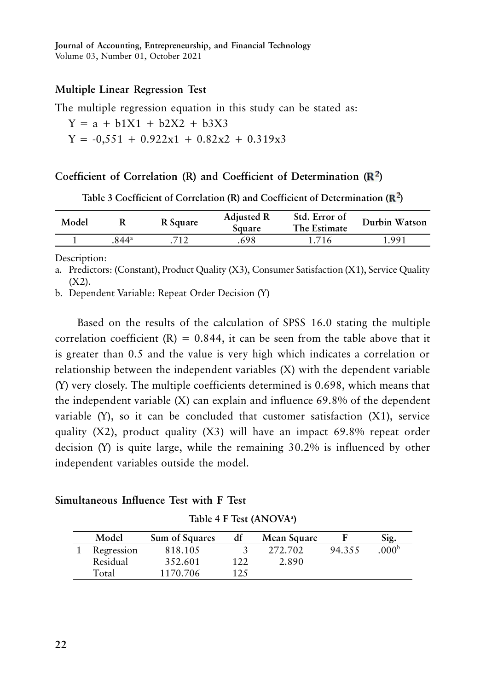### **Multiple Linear Regression Test**

The multiple regression equation in this study can be stated as:

 $Y = a + b1X1 + b2X2 + b3X3$  $Y = -0.551 + 0.922x1 + 0.82x2 + 0.319x3$ 

### Coefficient of Correlation (R) and Coefficient of Determination ( $\mathbb{R}^2$ )

| Model |      | R Square | <b>Adjusted R</b><br>Square | Std. Error of<br>The Estimate | Durbin Watson |
|-------|------|----------|-----------------------------|-------------------------------|---------------|
|       | 844ª |          | 698                         | 1.716                         | 1.991         |

Table 3 Coefficient of Correlation  $(R)$  and Coefficient of Determination  $(R^2)$ 

Description:

a. Predictors: (Constant), Product Quality (X3), Consumer Satisfaction (X1), Service Quality  $(X2)$ .

b. Dependent Variable: Repeat Order Decision (Y)

Based on the results of the calculation of SPSS 16.0 stating the multiple correlation coefficient  $(R) = 0.844$ , it can be seen from the table above that it is greater than 0.5 and the value is very high which indicates a correlation or relationship between the independent variables (X) with the dependent variable (Y) very closely. The multiple coefficients determined is 0.698, which means that the independent variable (X) can explain and influence 69.8% of the dependent variable  $(Y)$ , so it can be concluded that customer satisfaction  $(X1)$ , service quality (X2), product quality (X3) will have an impact 69.8% repeat order decision (Y) is quite large, while the remaining 30.2% is influenced by other independent variables outside the model.

# **Simultaneous Influence Test with F Test**

| Table 4 F Test (ANOVA <sup>a</sup> ) |  |  |  |  |
|--------------------------------------|--|--|--|--|
|--------------------------------------|--|--|--|--|

| Model      | Sum of Squares | df  | Mean Square |        | Sig.             |
|------------|----------------|-----|-------------|--------|------------------|
| Regression | 818.105        |     | 272.702     | 94.355 | 000 <sup>b</sup> |
| Residual   | 352.601        | 122 | 2.890       |        |                  |
| Total      | 1170.706       | 125 |             |        |                  |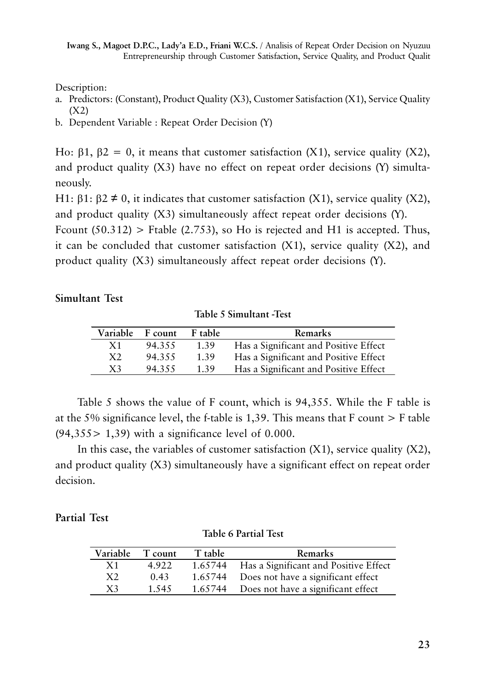Description:

- a. Predictors: (Constant), Product Quality (X3), Customer Satisfaction (X1), Service Quality (X2)
- b. Dependent Variable : Repeat Order Decision (Y)

Ho:  $\beta$ 1,  $\beta$ 2 = 0, it means that customer satisfaction (X1), service quality (X2), and product quality (X3) have no effect on repeat order decisions (Y) simultaneously.

H1:  $\beta$ 1:  $\beta$ 2  $\neq$  0, it indicates that customer satisfaction (X1), service quality (X2), and product quality (X3) simultaneously affect repeat order decisions (Y).

Frount  $(50.312)$  > Ftable  $(2.753)$ , so Ho is rejected and H1 is accepted. Thus, it can be concluded that customer satisfaction  $(X1)$ , service quality  $(X2)$ , and product quality (X3) simultaneously affect repeat order decisions (Y).

# **Simultant Test**

**Table 5 Simultant -Test**

| Variable F count |        | F table | Remarks                               |
|------------------|--------|---------|---------------------------------------|
| X1               | 94.355 | 1.39    | Has a Significant and Positive Effect |
| X2               | 94.355 | 1.39    | Has a Significant and Positive Effect |
| X <sub>3</sub>   | 94.355 | 1.39    | Has a Significant and Positive Effect |

Table 5 shows the value of F count, which is 94,355. While the F table is at the 5% significance level, the f-table is 1,39. This means that F count > F table  $(94,355 > 1,39)$  with a significance level of 0.000.

In this case, the variables of customer satisfaction  $(X1)$ , service quality  $(X2)$ , and product quality (X3) simultaneously have a significant effect on repeat order decision.

# **Partial Test**

| T count | T table | <b>Remarks</b>                                |
|---------|---------|-----------------------------------------------|
| 4.922   |         | 1.65744 Has a Significant and Positive Effect |
| 0.43    |         | 1.65744 Does not have a significant effect    |
| 1.545   |         | 1.65744 Does not have a significant effect    |
|         |         |                                               |

**Table 6 Partial Test**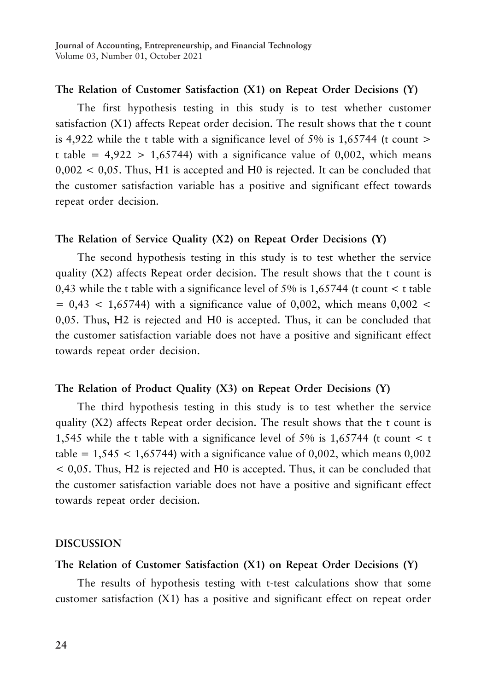# **The Relation of Customer Satisfaction (X1) on Repeat Order Decisions (Y)**

The first hypothesis testing in this study is to test whether customer satisfaction (X1) affects Repeat order decision. The result shows that the t count is 4,922 while the t table with a significance level of 5% is 1,65744 (t count  $>$ t table =  $4,922 > 1,65744$ ) with a significance value of 0,002, which means 0,002 < 0,05. Thus, H1 is accepted and H0 is rejected. It can be concluded that the customer satisfaction variable has a positive and significant effect towards repeat order decision.

## **The Relation of Service Quality (X2) on Repeat Order Decisions (Y)**

The second hypothesis testing in this study is to test whether the service quality (X2) affects Repeat order decision. The result shows that the t count is 0,43 while the t table with a significance level of 5% is  $1,65744$  (t count  $\lt$  t table  $= 0.43 < 1.65744$ ) with a significance value of 0,002, which means 0,002 < 0,05. Thus, H2 is rejected and H0 is accepted. Thus, it can be concluded that the customer satisfaction variable does not have a positive and significant effect towards repeat order decision.

# **The Relation of Product Quality (X3) on Repeat Order Decisions (Y)**

The third hypothesis testing in this study is to test whether the service quality (X2) affects Repeat order decision. The result shows that the t count is 1,545 while the t table with a significance level of 5% is 1,65744 (t count < t table =  $1,545 < 1,65744$ ) with a significance value of 0,002, which means 0,002 < 0,05. Thus, H2 is rejected and H0 is accepted. Thus, it can be concluded that the customer satisfaction variable does not have a positive and significant effect towards repeat order decision.

### **DISCUSSION**

# **The Relation of Customer Satisfaction (X1) on Repeat Order Decisions (Y)**

The results of hypothesis testing with t-test calculations show that some customer satisfaction (X1) has a positive and significant effect on repeat order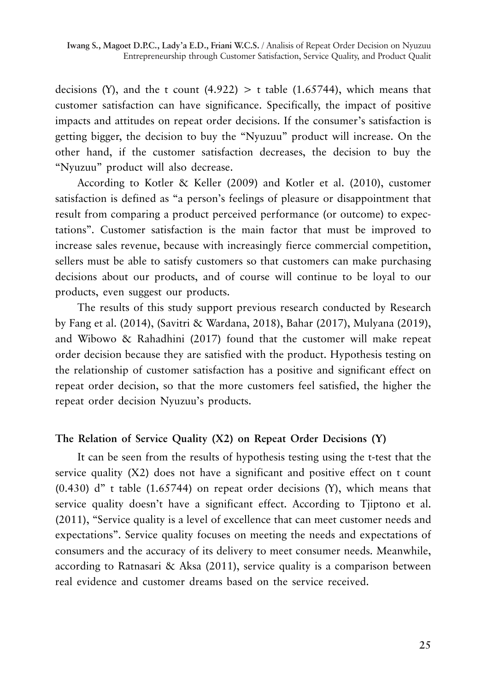decisions (Y), and the t count  $(4.922) > t$  table  $(1.65744)$ , which means that customer satisfaction can have significance. Specifically, the impact of positive impacts and attitudes on repeat order decisions. If the consumer's satisfaction is getting bigger, the decision to buy the "Nyuzuu" product will increase. On the other hand, if the customer satisfaction decreases, the decision to buy the "Nyuzuu" product will also decrease.

According to Kotler & Keller (2009) and Kotler et al. (2010), customer satisfaction is defined as "a person's feelings of pleasure or disappointment that result from comparing a product perceived performance (or outcome) to expectations". Customer satisfaction is the main factor that must be improved to increase sales revenue, because with increasingly fierce commercial competition, sellers must be able to satisfy customers so that customers can make purchasing decisions about our products, and of course will continue to be loyal to our products, even suggest our products.

The results of this study support previous research conducted by Research by Fang et al. (2014), (Savitri & Wardana, 2018), Bahar (2017), Mulyana (2019), and Wibowo & Rahadhini (2017) found that the customer will make repeat order decision because they are satisfied with the product. Hypothesis testing on the relationship of customer satisfaction has a positive and significant effect on repeat order decision, so that the more customers feel satisfied, the higher the repeat order decision Nyuzuu's products.

# **The Relation of Service Quality (X2) on Repeat Order Decisions (Y)**

It can be seen from the results of hypothesis testing using the t-test that the service quality (X2) does not have a significant and positive effect on t count  $(0.430)$  d" t table  $(1.65744)$  on repeat order decisions  $(Y)$ , which means that service quality doesn't have a significant effect. According to Tjiptono et al. (2011), "Service quality is a level of excellence that can meet customer needs and expectations". Service quality focuses on meeting the needs and expectations of consumers and the accuracy of its delivery to meet consumer needs. Meanwhile, according to Ratnasari & Aksa (2011), service quality is a comparison between real evidence and customer dreams based on the service received.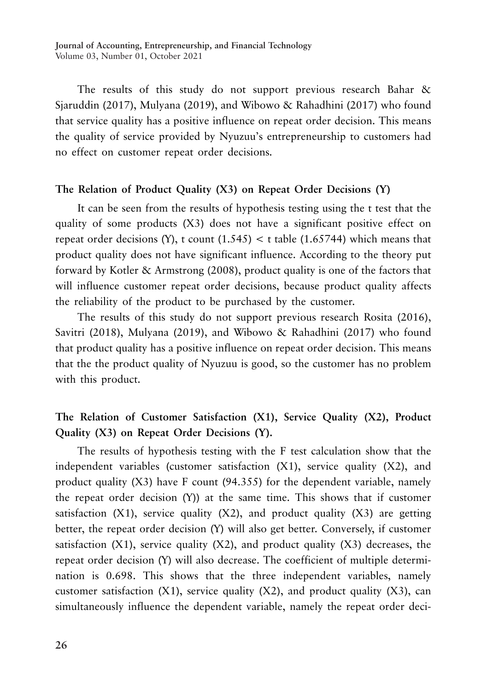The results of this study do not support previous research Bahar & Sjaruddin (2017), Mulyana (2019), and Wibowo & Rahadhini (2017) who found that service quality has a positive influence on repeat order decision. This means the quality of service provided by Nyuzuu's entrepreneurship to customers had no effect on customer repeat order decisions.

# **The Relation of Product Quality (X3) on Repeat Order Decisions (Y)**

It can be seen from the results of hypothesis testing using the t test that the quality of some products (X3) does not have a significant positive effect on repeat order decisions (Y), t count  $(1.545) <$  t table  $(1.65744)$  which means that product quality does not have significant influence. According to the theory put forward by Kotler & Armstrong (2008), product quality is one of the factors that will influence customer repeat order decisions, because product quality affects the reliability of the product to be purchased by the customer.

The results of this study do not support previous research Rosita (2016), Savitri (2018), Mulyana (2019), and Wibowo & Rahadhini (2017) who found that product quality has a positive influence on repeat order decision. This means that the the product quality of Nyuzuu is good, so the customer has no problem with this product.

# **The Relation of Customer Satisfaction (X1), Service Quality (X2), Product Quality (X3) on Repeat Order Decisions (Y).**

The results of hypothesis testing with the F test calculation show that the independent variables (customer satisfaction  $(X1)$ , service quality  $(X2)$ , and product quality (X3) have F count (94.355) for the dependent variable, namely the repeat order decision (Y)) at the same time. This shows that if customer satisfaction  $(X1)$ , service quality  $(X2)$ , and product quality  $(X3)$  are getting better, the repeat order decision (Y) will also get better. Conversely, if customer satisfaction  $(X1)$ , service quality  $(X2)$ , and product quality  $(X3)$  decreases, the repeat order decision (Y) will also decrease. The coefficient of multiple determination is 0.698. This shows that the three independent variables, namely customer satisfaction (X1), service quality (X2), and product quality (X3), can simultaneously influence the dependent variable, namely the repeat order deci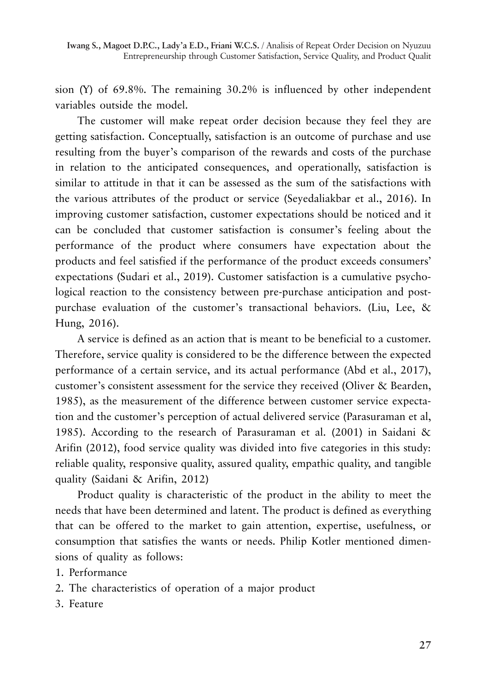**Iwang S., Magoet D.P.C., Lady'a E.D., Friani W.C.S.** / Analisis of Repeat Order Decision on Nyuzuu Entrepreneurship through Customer Satisfaction, Service Quality, and Product Qualit

sion (Y) of 69.8%. The remaining 30.2% is influenced by other independent variables outside the model.

The customer will make repeat order decision because they feel they are getting satisfaction. Conceptually, satisfaction is an outcome of purchase and use resulting from the buyer's comparison of the rewards and costs of the purchase in relation to the anticipated consequences, and operationally, satisfaction is similar to attitude in that it can be assessed as the sum of the satisfactions with the various attributes of the product or service (Seyedaliakbar et al., 2016). In improving customer satisfaction, customer expectations should be noticed and it can be concluded that customer satisfaction is consumer's feeling about the performance of the product where consumers have expectation about the products and feel satisfied if the performance of the product exceeds consumers' expectations (Sudari et al., 2019). Customer satisfaction is a cumulative psychological reaction to the consistency between pre-purchase anticipation and postpurchase evaluation of the customer's transactional behaviors. (Liu, Lee, & Hung, 2016).

A service is defined as an action that is meant to be beneficial to a customer. Therefore, service quality is considered to be the difference between the expected performance of a certain service, and its actual performance (Abd et al., 2017), customer's consistent assessment for the service they received (Oliver & Bearden, 1985), as the measurement of the difference between customer service expectation and the customer's perception of actual delivered service (Parasuraman et al, 1985). According to the research of Parasuraman et al. (2001) in Saidani & Arifin (2012), food service quality was divided into five categories in this study: reliable quality, responsive quality, assured quality, empathic quality, and tangible quality (Saidani & Arifin, 2012)

Product quality is characteristic of the product in the ability to meet the needs that have been determined and latent. The product is defined as everything that can be offered to the market to gain attention, expertise, usefulness, or consumption that satisfies the wants or needs. Philip Kotler mentioned dimensions of quality as follows:

- 1. Performance
- 2. The characteristics of operation of a major product
- 3. Feature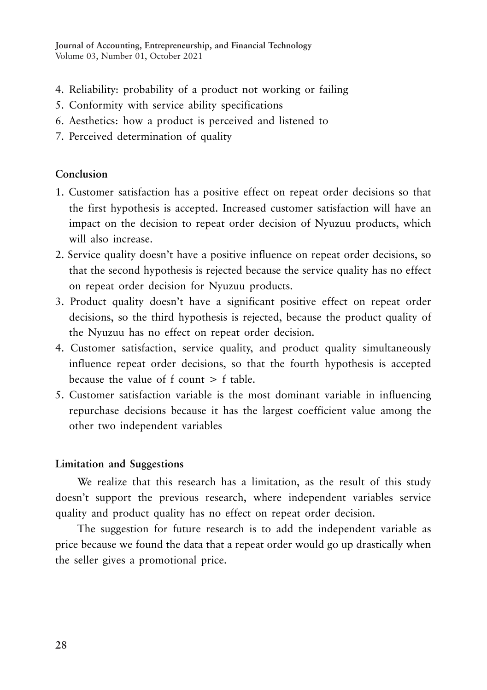- 4. Reliability: probability of a product not working or failing
- 5. Conformity with service ability specifications
- 6. Aesthetics: how a product is perceived and listened to
- 7. Perceived determination of quality

# **Conclusion**

- 1. Customer satisfaction has a positive effect on repeat order decisions so that the first hypothesis is accepted. Increased customer satisfaction will have an impact on the decision to repeat order decision of Nyuzuu products, which will also increase.
- 2. Service quality doesn't have a positive influence on repeat order decisions, so that the second hypothesis is rejected because the service quality has no effect on repeat order decision for Nyuzuu products.
- 3. Product quality doesn't have a significant positive effect on repeat order decisions, so the third hypothesis is rejected, because the product quality of the Nyuzuu has no effect on repeat order decision.
- 4. Customer satisfaction, service quality, and product quality simultaneously influence repeat order decisions, so that the fourth hypothesis is accepted because the value of  $f$  count  $\geq f$  table.
- 5. Customer satisfaction variable is the most dominant variable in influencing repurchase decisions because it has the largest coefficient value among the other two independent variables

# **Limitation and Suggestions**

We realize that this research has a limitation, as the result of this study doesn't support the previous research, where independent variables service quality and product quality has no effect on repeat order decision.

The suggestion for future research is to add the independent variable as price because we found the data that a repeat order would go up drastically when the seller gives a promotional price.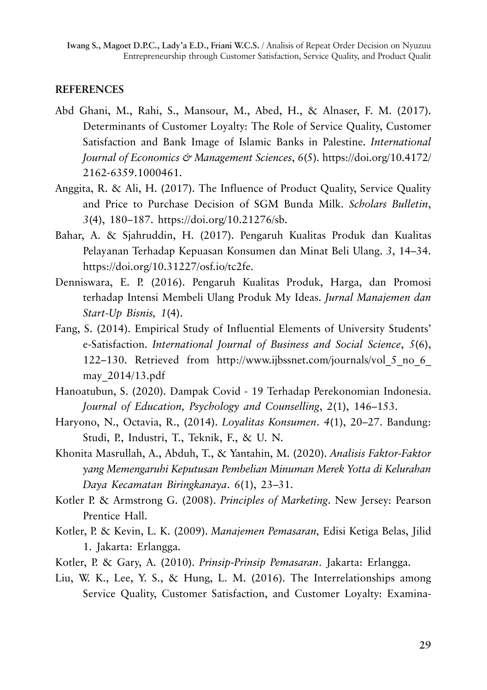# **REFERENCES**

- Abd Ghani, M., Rahi, S., Mansour, M., Abed, H., & Alnaser, F. M. (2017). Determinants of Customer Loyalty: The Role of Service Quality, Customer Satisfaction and Bank Image of Islamic Banks in Palestine. *International Journal of Economics & Management Sciences*, *6*(5). https://doi.org/10.4172/ 2162-6359.1000461.
- Anggita, R. & Ali, H. (2017). The Influence of Product Quality, Service Quality and Price to Purchase Decision of SGM Bunda Milk. *Scholars Bulletin*, *3*(4), 180–187. https://doi.org/10.21276/sb.
- Bahar, A. & Sjahruddin, H. (2017). Pengaruh Kualitas Produk dan Kualitas Pelayanan Terhadap Kepuasan Konsumen dan Minat Beli Ulang. *3*, 14–34. https://doi.org/10.31227/osf.io/tc2fe.
- Denniswara, E. P. (2016). Pengaruh Kualitas Produk, Harga, dan Promosi terhadap Intensi Membeli Ulang Produk My Ideas. *Jurnal Manajemen dan Start-Up Bisnis, 1*(4).
- Fang, S. (2014). Empirical Study of Influential Elements of University Students' e-Satisfaction. *International Journal of Business and Social Science*, *5*(6), 122–130. Retrieved from http://www.ijbssnet.com/journals/vol\_5\_no\_6\_ may\_2014/13.pdf
- Hanoatubun, S. (2020). Dampak Covid 19 Terhadap Perekonomian Indonesia. *Journal of Education, Psychology and Counselling*, *2*(1), 146–153.
- Haryono, N., Octavia, R., (2014). *Loyalitas Konsumen*. *4*(1), 20–27. Bandung: Studi, P., Industri, T., Teknik, F., & U. N.
- Khonita Masrullah, A., Abduh, T., & Yantahin, M. (2020). *Analisis Faktor-Faktor yang Memengaruhi Keputusan Pembelian Minuman Merek Yotta di Kelurahan Daya Kecamatan Biringkanaya*. *6*(1), 23–31.
- Kotler P. & Armstrong G. (2008). *Principles of Marketing*. New Jersey: Pearson Prentice Hall.
- Kotler, P. & Kevin, L. K. (2009). *Manajemen Pemasaran,* Edisi Ketiga Belas, Jilid 1. Jakarta: Erlangga.
- Kotler, P. & Gary, A. (2010). *Prinsip-Prinsip Pemasaran*. Jakarta: Erlangga.
- Liu, W. K., Lee, Y. S., & Hung, L. M. (2016). The Interrelationships among Service Quality, Customer Satisfaction, and Customer Loyalty: Examina-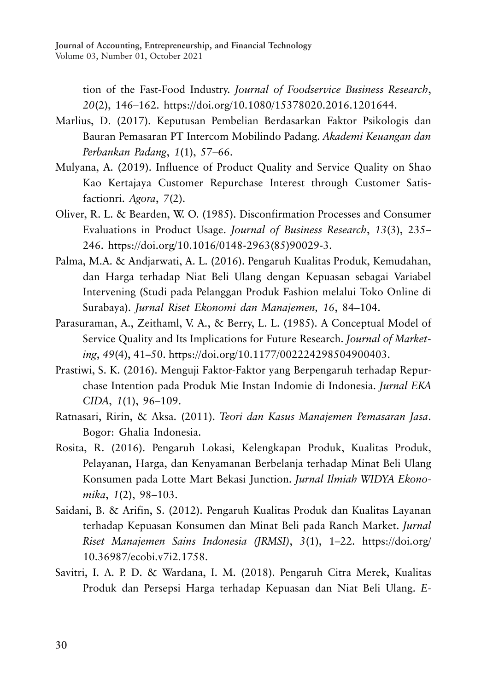> tion of the Fast-Food Industry. *Journal of Foodservice Business Research*, *20*(2), 146–162. https://doi.org/10.1080/15378020.2016.1201644.

- Marlius, D. (2017). Keputusan Pembelian Berdasarkan Faktor Psikologis dan Bauran Pemasaran PT Intercom Mobilindo Padang. *Akademi Keuangan dan Perbankan Padang*, *1*(1), 57–66.
- Mulyana, A. (2019). Influence of Product Quality and Service Quality on Shao Kao Kertajaya Customer Repurchase Interest through Customer Satisfactionri. *Agora*, *7*(2).
- Oliver, R. L. & Bearden, W. O. (1985). Disconfirmation Processes and Consumer Evaluations in Product Usage. *Journal of Business Research*, *13*(3), 235– 246. https://doi.org/10.1016/0148-2963(85)90029-3.
- Palma, M.A. & Andjarwati, A. L. (2016). Pengaruh Kualitas Produk, Kemudahan, dan Harga terhadap Niat Beli Ulang dengan Kepuasan sebagai Variabel Intervening (Studi pada Pelanggan Produk Fashion melalui Toko Online di Surabaya). *Jurnal Riset Ekonomi dan Manajemen, 16*, 84–104.
- Parasuraman, A., Zeithaml, V. A., & Berry, L. L. (1985). A Conceptual Model of Service Quality and Its Implications for Future Research. *Journal of Marketing*, *49*(4), 41–50. https://doi.org/10.1177/002224298504900403.
- Prastiwi, S. K. (2016). Menguji Faktor-Faktor yang Berpengaruh terhadap Repurchase Intention pada Produk Mie Instan Indomie di Indonesia. *Jurnal EKA CIDA*, *1*(1), 96–109.
- Ratnasari, Ririn, & Aksa. (2011). *Teori dan Kasus Manajemen Pemasaran Jasa*. Bogor: Ghalia Indonesia.
- Rosita, R. (2016). Pengaruh Lokasi, Kelengkapan Produk, Kualitas Produk, Pelayanan, Harga, dan Kenyamanan Berbelanja terhadap Minat Beli Ulang Konsumen pada Lotte Mart Bekasi Junction. *Jurnal Ilmiah WIDYA Ekonomika*, *1*(2), 98–103.
- Saidani, B. & Arifin, S. (2012). Pengaruh Kualitas Produk dan Kualitas Layanan terhadap Kepuasan Konsumen dan Minat Beli pada Ranch Market. *Jurnal Riset Manajemen Sains Indonesia (JRMSI)*, *3*(1), 1–22. https://doi.org/ 10.36987/ecobi.v7i2.1758.
- Savitri, I. A. P. D. & Wardana, I. M. (2018). Pengaruh Citra Merek, Kualitas Produk dan Persepsi Harga terhadap Kepuasan dan Niat Beli Ulang. *E-*